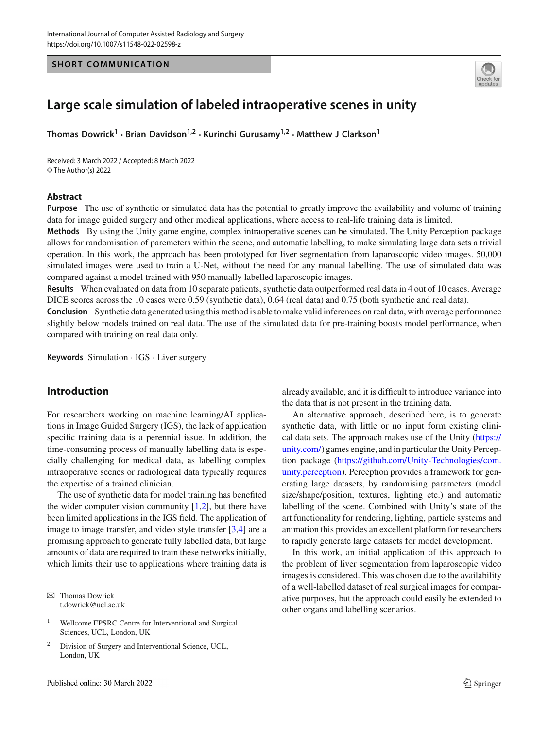#### **SHORT COMMUNICATION**



# **Large scale simulation of labeled intraoperative scenes in unity**

**Thomas Dowrick<sup>1</sup> · Brian Davidson1,2 · Kurinchi Gurusamy1,2 · Matthew J Clarkson<sup>1</sup>**

Received: 3 March 2022 / Accepted: 8 March 2022 © The Author(s) 2022

#### **Abstract**

**Purpose** The use of synthetic or simulated data has the potential to greatly improve the availability and volume of training data for image guided surgery and other medical applications, where access to real-life training data is limited.

**Methods** By using the Unity game engine, complex intraoperative scenes can be simulated. The Unity Perception package allows for randomisation of paremeters within the scene, and automatic labelling, to make simulating large data sets a trivial operation. In this work, the approach has been prototyped for liver segmentation from laparoscopic video images. 50,000 simulated images were used to train a U-Net, without the need for any manual labelling. The use of simulated data was compared against a model trained with 950 manually labelled laparoscopic images.

**Results** When evaluated on data from 10 separate patients, synthetic data outperformed real data in 4 out of 10 cases. Average DICE scores across the 10 cases were 0.59 (synthetic data), 0.64 (real data) and 0.75 (both synthetic and real data).

**Conclusion** Synthetic data generated using this method is able to make valid inferences on real data, with average performance slightly below models trained on real data. The use of the simulated data for pre-training boosts model performance, when compared with training on real data only.

**Keywords** Simulation · IGS · Liver surgery

# **Introduction**

For researchers working on machine learning/AI applications in Image Guided Surgery (IGS), the lack of application specific training data is a perennial issue. In addition, the time-consuming process of manually labelling data is especially challenging for medical data, as labelling complex intraoperative scenes or radiological data typically requires the expertise of a trained clinician.

The use of synthetic data for model training has benefited the wider computer vision community  $[1,2]$  $[1,2]$ , but there have been limited applications in the IGS field. The application of image to image transfer, and video style transfer [\[3](#page-2-2)[,4\]](#page-2-3) are a promising approach to generate fully labelled data, but large amounts of data are required to train these networks initially, which limits their use to applications where training data is

already available, and it is difficult to introduce variance into the data that is not present in the training data.

An alternative approach, described here, is to generate synthetic data, with little or no input form existing clinical data sets. The approach makes use of the Unity [\(https://](https://unity.com/) [unity.com/\)](https://unity.com/) games engine, and in particular the Unity Perception package [\(https://github.com/Unity-Technologies/com.](https://github.com/Unity-Technologies/com.unity.perception) [unity.perception\)](https://github.com/Unity-Technologies/com.unity.perception). Perception provides a framework for generating large datasets, by randomising parameters (model size/shape/position, textures, lighting etc.) and automatic labelling of the scene. Combined with Unity's state of the art functionality for rendering, lighting, particle systems and animation this provides an excellent platform for researchers to rapidly generate large datasets for model development.

In this work, an initial application of this approach to the problem of liver segmentation from laparoscopic video images is considered. This was chosen due to the availability of a well-labelled dataset of real surgical images for comparative purposes, but the approach could easily be extended to other organs and labelling scenarios.

 $\boxtimes$  Thomas Dowrick t.dowrick@ucl.ac.uk

<sup>&</sup>lt;sup>1</sup> Wellcome EPSRC Centre for Interventional and Surgical Sciences, UCL, London, UK

<sup>&</sup>lt;sup>2</sup> Division of Surgery and Interventional Science, UCL, London, UK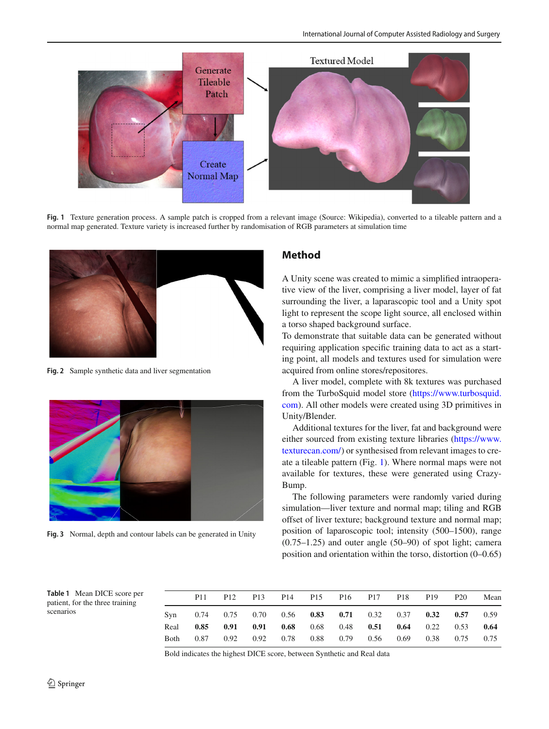

**Fig. 1** Texture generation process. A sample patch is cropped from a relevant image (Source: Wikipedia), converted to a tileable pattern and a normal map generated. Texture variety is increased further by randomisation of RGB parameters at simulation time

<span id="page-1-0"></span>

**Fig. 2** Sample synthetic data and liver segmentation

<span id="page-1-1"></span>

**Fig. 3** Normal, depth and contour labels can be generated in Unity

# **Method**

A Unity scene was created to mimic a simplified intraoperative view of the liver, comprising a liver model, layer of fat surrounding the liver, a laparascopic tool and a Unity spot light to represent the scope light source, all enclosed within a torso shaped background surface.

To demonstrate that suitable data can be generated without requiring application specific training data to act as a starting point, all models and textures used for simulation were acquired from online stores/repositores.

A liver model, complete with 8k textures was purchased from the TurboSquid model store [\(https://www.turbosquid.](https://www.turbosquid.com) [com\)](https://www.turbosquid.com). All other models were created using 3D primitives in Unity/Blender.

Additional textures for the liver, fat and background were either sourced from existing texture libraries [\(https://www.](https://www.texturecan.com/) [texturecan.com/\)](https://www.texturecan.com/) or synthesised from relevant images to create a tileable pattern (Fig. [1\)](#page-1-0). Where normal maps were not available for textures, these were generated using Crazy-Bump.

The following parameters were randomly varied during simulation—liver texture and normal map; tiling and RGB offset of liver texture; background texture and normal map; position of laparoscopic tool; intensity (500–1500), range (0.75–1.25) and outer angle (50–90) of spot light; camera position and orientation within the torso, distortion (0–0.65)

<span id="page-1-3"></span><span id="page-1-2"></span>**Table 1** Mean DICE score per patient, for the three training scenarios

|  |  |  |  |  |  | P11 P12 P13 P14 P15 P16 P17 P18 P19 P20                     |  |  | Mean |  |
|--|--|--|--|--|--|-------------------------------------------------------------|--|--|------|--|
|  |  |  |  |  |  | Syn 0.74 0.75 0.70 0.56 0.83 0.71 0.32 0.37 0.32 0.57 0.59  |  |  |      |  |
|  |  |  |  |  |  | Real 0.85 0.91 0.91 0.68 0.68 0.48 0.51 0.64 0.22 0.53 0.64 |  |  |      |  |
|  |  |  |  |  |  | Both 0.87 0.92 0.92 0.78 0.88 0.79 0.56 0.69 0.38 0.75 0.75 |  |  |      |  |

Bold indicates the highest DICE score, between Synthetic and Real data